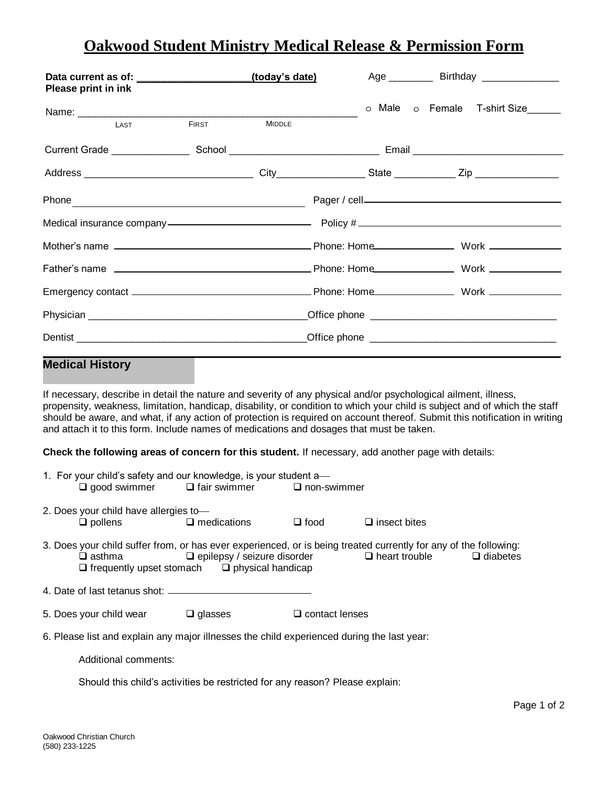## **Oakwood Student Ministry Medical Release & Permission Form**

| Please print in ink                                                                                                                                                                                         |                                                                              | (today's date)                     |                          | Age ____________ Birthday ________________                                                                                                                                                                                                               |
|-------------------------------------------------------------------------------------------------------------------------------------------------------------------------------------------------------------|------------------------------------------------------------------------------|------------------------------------|--------------------------|----------------------------------------------------------------------------------------------------------------------------------------------------------------------------------------------------------------------------------------------------------|
|                                                                                                                                                                                                             |                                                                              |                                    |                          | o Male o Female T-shirt Size                                                                                                                                                                                                                             |
| LAST                                                                                                                                                                                                        | <b>FIRST</b>                                                                 | <b>MIDDLE</b>                      |                          |                                                                                                                                                                                                                                                          |
|                                                                                                                                                                                                             |                                                                              |                                    |                          |                                                                                                                                                                                                                                                          |
|                                                                                                                                                                                                             |                                                                              |                                    |                          |                                                                                                                                                                                                                                                          |
|                                                                                                                                                                                                             |                                                                              |                                    |                          |                                                                                                                                                                                                                                                          |
|                                                                                                                                                                                                             |                                                                              |                                    |                          | Medical insurance company-contract to the Policy # _____________________________                                                                                                                                                                         |
|                                                                                                                                                                                                             |                                                                              |                                    |                          |                                                                                                                                                                                                                                                          |
|                                                                                                                                                                                                             |                                                                              |                                    |                          |                                                                                                                                                                                                                                                          |
|                                                                                                                                                                                                             |                                                                              |                                    |                          |                                                                                                                                                                                                                                                          |
|                                                                                                                                                                                                             |                                                                              |                                    |                          |                                                                                                                                                                                                                                                          |
|                                                                                                                                                                                                             |                                                                              |                                    |                          |                                                                                                                                                                                                                                                          |
| <b>Medical History</b>                                                                                                                                                                                      |                                                                              |                                    |                          |                                                                                                                                                                                                                                                          |
| If necessary, describe in detail the nature and severity of any physical and/or psychological ailment, illness,<br>and attach it to this form. Include names of medications and dosages that must be taken. |                                                                              |                                    |                          | propensity, weakness, limitation, handicap, disability, or condition to which your child is subject and of which the staff<br>should be aware, and what, if any action of protection is required on account thereof. Submit this notification in writing |
| Check the following areas of concern for this student. If necessary, add another page with details:                                                                                                         |                                                                              |                                    |                          |                                                                                                                                                                                                                                                          |
| 1. For your child's safety and our knowledge, is your student a-                                                                                                                                            | $\Box$ good swimmer $\Box$ fair swimmer                                      |                                    | $\Box$ non-swimmer       |                                                                                                                                                                                                                                                          |
| 2. Does your child have allergies to-<br>$\Box$ pollens                                                                                                                                                     | $\Box$ medications                                                           | $\Box$ food                        | $\square$ insect bites   |                                                                                                                                                                                                                                                          |
| 3. Does your child suffer from, or has ever experienced, or is being treated currently for any of the following:<br>$\square$ asthma                                                                        | $\Box$ frequently upset stomach $\Box$ physical handicap                     | $\Box$ epilepsy / seizure disorder | $\Box$ heart trouble     | $\Box$ diabetes                                                                                                                                                                                                                                          |
|                                                                                                                                                                                                             |                                                                              |                                    |                          |                                                                                                                                                                                                                                                          |
| 5. Does your child wear                                                                                                                                                                                     | $\Box$ glasses                                                               |                                    | $\square$ contact lenses |                                                                                                                                                                                                                                                          |
| 6. Please list and explain any major illnesses the child experienced during the last year:                                                                                                                  |                                                                              |                                    |                          |                                                                                                                                                                                                                                                          |
| Additional comments:                                                                                                                                                                                        |                                                                              |                                    |                          |                                                                                                                                                                                                                                                          |
|                                                                                                                                                                                                             | Should this child's activities be restricted for any reason? Please explain: |                                    |                          |                                                                                                                                                                                                                                                          |